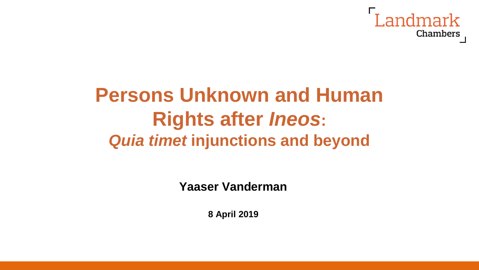

# **Persons Unknown and Human Rights after** *Ineos***:** *Quia timet* **injunctions and beyond**

**Yaaser Vanderman**

**8 April 2019**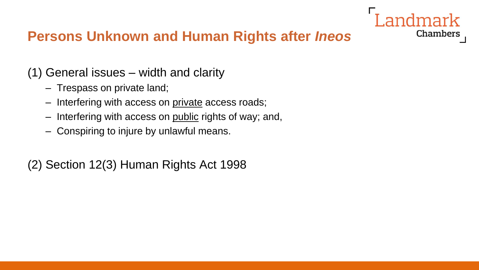

#### **Persons Unknown and Human Rights after** *Ineos*

(1) General issues – width and clarity

- Trespass on private land;
- Interfering with access on private access roads;
- Interfering with access on public rights of way; and,
- Conspiring to injure by unlawful means.

(2) Section 12(3) Human Rights Act 1998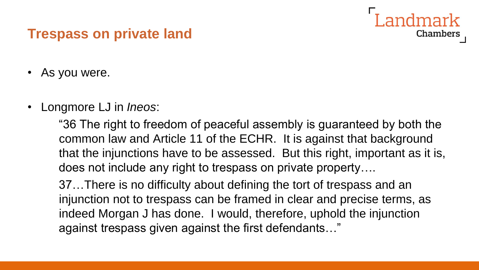#### **Trespass on private land**

- As you were.
- Longmore LJ in *Ineos*:

"36 The right to freedom of peaceful assembly is guaranteed by both the common law and Article 11 of the ECHR. It is against that background that the injunctions have to be assessed. But this right, important as it is, does not include any right to trespass on private property….

**Chambers** 

37…There is no difficulty about defining the tort of trespass and an injunction not to trespass can be framed in clear and precise terms, as indeed Morgan J has done. I would, therefore, uphold the injunction against trespass given against the first defendants…"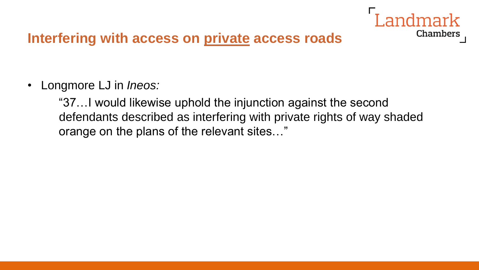

#### **Interfering with access on private access roads**

• Longmore LJ in *Ineos:*

"37…I would likewise uphold the injunction against the second defendants described as interfering with private rights of way shaded orange on the plans of the relevant sites…"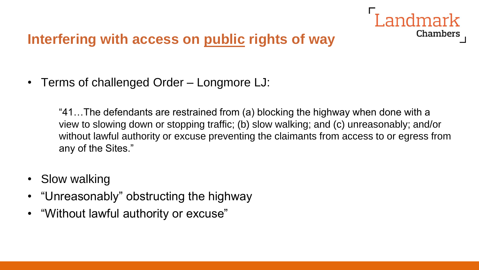

• Terms of challenged Order – Longmore LJ:

"41…The defendants are restrained from (a) blocking the highway when done with a view to slowing down or stopping traffic; (b) slow walking; and (c) unreasonably; and/or without lawful authority or excuse preventing the claimants from access to or egress from any of the Sites."

- Slow walking
- "Unreasonably" obstructing the highway
- "Without lawful authority or excuse"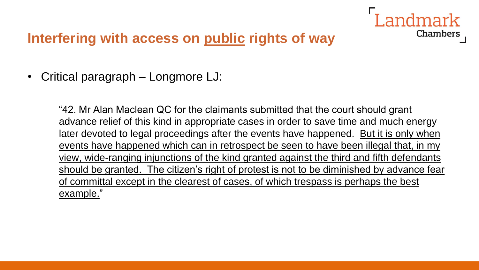

• Critical paragraph – Longmore LJ:

"42. Mr Alan Maclean QC for the claimants submitted that the court should grant advance relief of this kind in appropriate cases in order to save time and much energy later devoted to legal proceedings after the events have happened. But it is only when events have happened which can in retrospect be seen to have been illegal that, in my view, wide-ranging injunctions of the kind granted against the third and fifth defendants should be granted. The citizen's right of protest is not to be diminished by advance fear of committal except in the clearest of cases, of which trespass is perhaps the best example."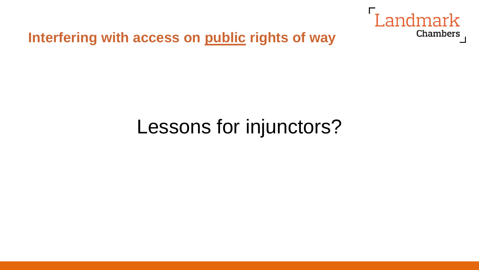

# Lessons for injunctors?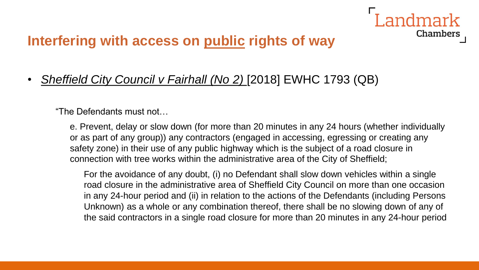• *Sheffield City Council v Fairhall (No 2)* [2018] EWHC 1793 (QB)

"The Defendants must not…

e. Prevent, delay or slow down (for more than 20 minutes in any 24 hours (whether individually or as part of any group)) any contractors (engaged in accessing, egressing or creating any safety zone) in their use of any public highway which is the subject of a road closure in connection with tree works within the administrative area of the City of Sheffield;

ndmark

**Chambers** 

For the avoidance of any doubt, (i) no Defendant shall slow down vehicles within a single road closure in the administrative area of Sheffield City Council on more than one occasion in any 24-hour period and (ii) in relation to the actions of the Defendants (including Persons Unknown) as a whole or any combination thereof, there shall be no slowing down of any of the said contractors in a single road closure for more than 20 minutes in any 24-hour period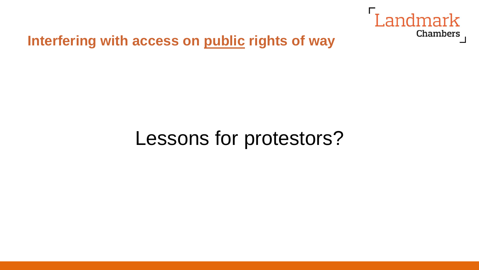

# Lessons for protestors?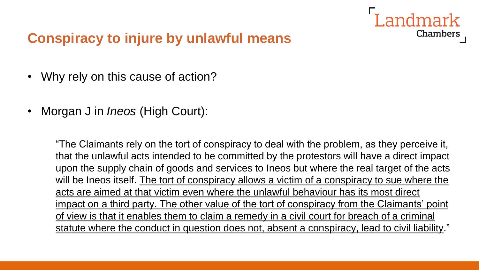

- Why rely on this cause of action?
- Morgan J in *Ineos* (High Court):

"The Claimants rely on the tort of conspiracy to deal with the problem, as they perceive it, that the unlawful acts intended to be committed by the protestors will have a direct impact upon the supply chain of goods and services to Ineos but where the real target of the acts will be Ineos itself. The tort of conspiracy allows a victim of a conspiracy to sue where the acts are aimed at that victim even where the unlawful behaviour has its most direct impact on a third party. The other value of the tort of conspiracy from the Claimants' point of view is that it enables them to claim a remedy in a civil court for breach of a criminal statute where the conduct in question does not, absent a conspiracy, lead to civil liability."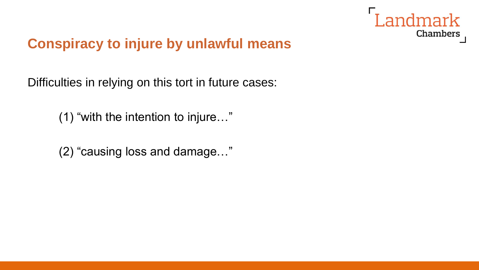

Difficulties in relying on this tort in future cases:

(1) "with the intention to injure…"

(2) "causing loss and damage…"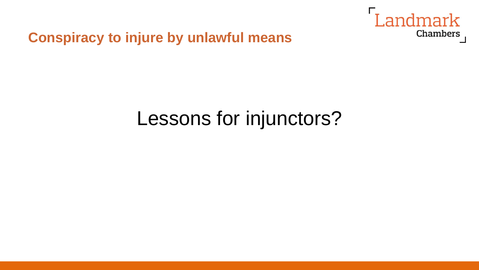

# Lessons for injunctors?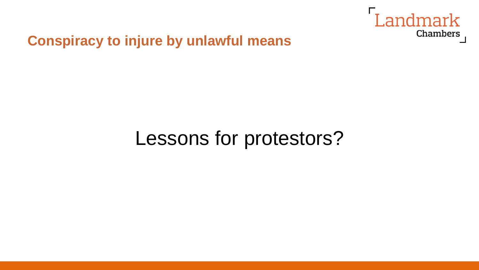

# Lessons for protestors?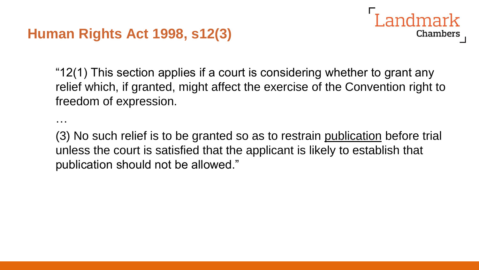#### **Human Rights Act 1998, s12(3)**

…



**Chambers** 

(3) No such relief is to be granted so as to restrain publication before trial unless the court is satisfied that the applicant is likely to establish that publication should not be allowed."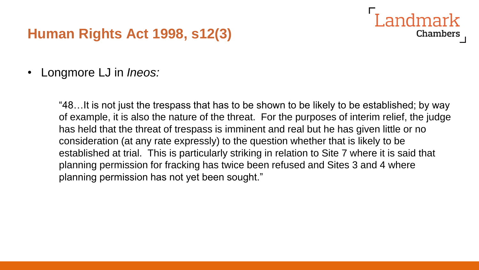#### **Human Rights Act 1998, s12(3)**

• Longmore LJ in *Ineos:*

"48…It is not just the trespass that has to be shown to be likely to be established; by way of example, it is also the nature of the threat. For the purposes of interim relief, the judge has held that the threat of trespass is imminent and real but he has given little or no consideration (at any rate expressly) to the question whether that is likely to be established at trial. This is particularly striking in relation to Site 7 where it is said that planning permission for fracking has twice been refused and Sites 3 and 4 where planning permission has not yet been sought."

Landmark

**Chambers**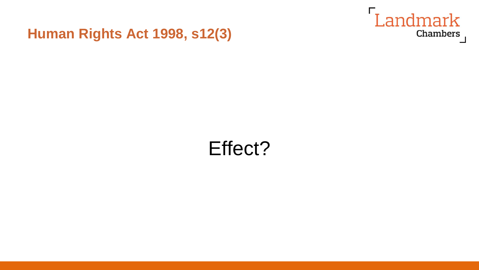

#### **Human Rights Act 1998, s12(3)**